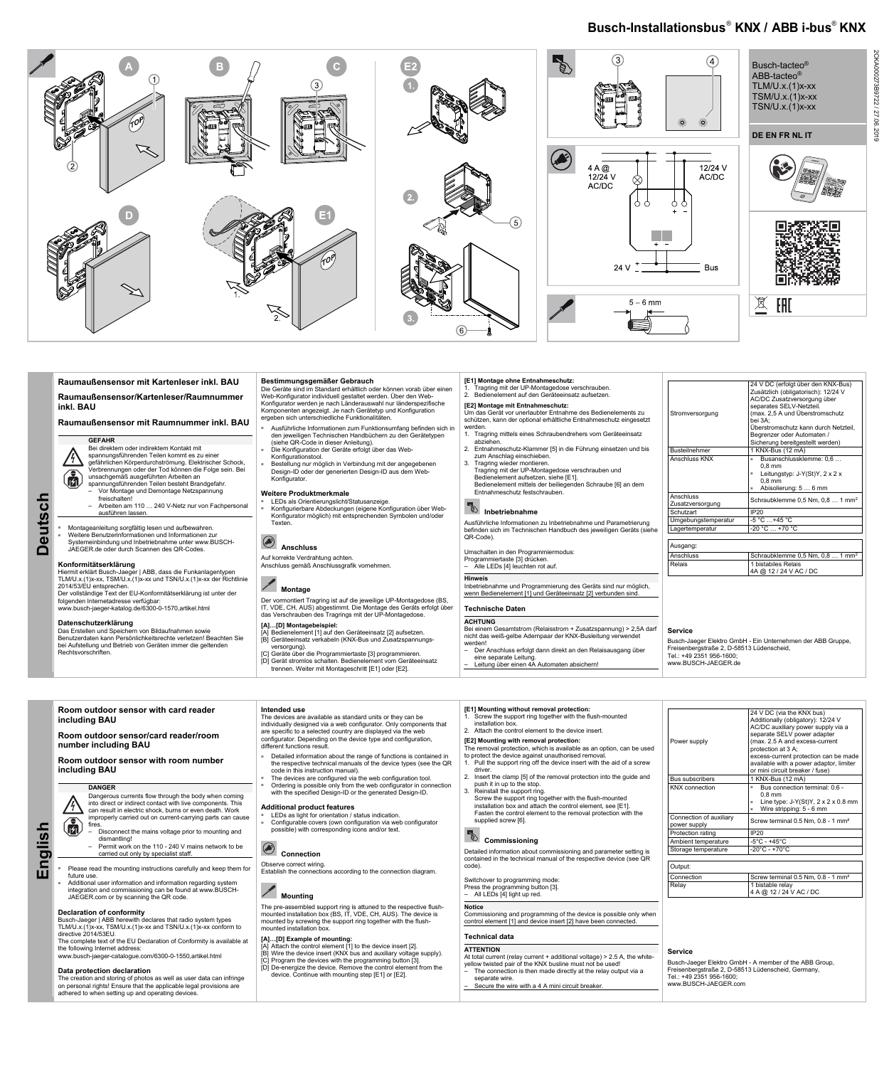**Deutsch**  eutsch

◘

 $\bigcirc$ 

Montageanleitung sorgfältig lesen und aufbewahren. Weitere Benutzerinformationen und Informationen zur

### **Busch-Installationsbus® KNX / ABB i-bus® KNX**



### **Raumaußensensor mit Kartenleser inkl. BAU**

**Raumaußensensor/Kartenleser/Raumnummer inkl. BAU** 

### **Raumaußensensor mit Raumnummer inkl. BAU**

### **GEFAHR**

Bei direktem oder indirektem Kontakt mit spannungsführenden Teilen kommt es zu einer gefährlichen Körperdurchströmung. Elektrischer Schock, Verbrennungen oder der Tod können die Folge sein. Bei unsachgemäß ausgeführten Arbeiten an spannungsführenden Teilen besteht Brandgefahr. – Vor Montage und Demontage Netzspannung

freischalten!

Das Erstellen und Speichern von Bildaufnahmen sowie Benutzerdaten kann Persönlichkeitsrechte verletzen! Beachten Sie bei Aufstellung und Betrieb von Geräten immer die geltenden **Rechtsvorschriften** 

– Arbeiten am 110 … 240 V-Netz nur von Fachpersonal

ausführen lassen.

Systemeinbindung und Inbetriebnahme unter www.BUSCH-JAEGER.de oder durch Scannen des QR-Codes.

### **Konformitätserklärung**

Hiermit erklärt Busch-Jaeger | ABB, dass die Funkanlagentypen TLM/U.x.(1)x-xx, TSM/U.x.(1)x-xx und TSN/U.x.(1)x-xx der Richtlinie 2014/53/EU entsprechen. Der vollständige Text der EU-Konformitätserklärung ist unter der folgenden Internetadresse verfügbar: www.busch-jaeger-katalog.de/6300-0-1570,artikel.html

■ LEDs als Orientierungslicht/Statusanzeige. ■ Konfigurierbare Abdeckungen (eigene Konfiguration über Web-Konfigurator möglich) mit entsprechenden Symbolen und/oder **Texten** 

# **Anschluss**

### **Datenschutzerklärung**

### **Bestimmungsgemäßer Gebrauch**

Tragring mit der UP-Montagedose verschrauben. 2. Bedienelement auf den Geräteeinsatz aufsetzen.

- Die Geräte sind im Standard erhältlich oder können vorab über einen Web-Konfigurator individuell gestaltet werden. Über den Web-Konfigurator werden je nach Länderauswahl nur länderspezifische Komponenten angezeigt. Je nach Gerätetyp und Konfiguration ergeben sich unterschiedliche Funktionalitäten.
- Ausführliche Informationen zum Funktionsumfang befinden sich in den jeweiligen Technischen Handbüchern zu den Gerätetypen (siehe QR-Code in dieser Anleitung).
- Die Konfiguration der Geräte erfolgt über das Web-
- Konfigurationstool. Bestellung nur möglich in Verbindung mit der angegebenen
- Design-ID oder der generierten Design-ID aus dem Web-Konfigurator.

### **Weitere Produktmerkmale**

### Stromversorgung 24 V DC (erfolgt über den KNX-Bus) Zusätzlich (obligatorisch): 12/24 V AC/DC Zusatzversorgung über separates SELV-Netzteil. (max. 2,5 A und Überstromschutz bei 3A; Überstromschutz kann durch Netzteil, Begrenzer oder Automaten / Sicherung bereitgestellt werden) Busteilnehmer 1 KNX-Bus (12 mA) Anschluss KNX **Busanschlussklemme: 0,6 ...** 0,8 mm Leitungstyp: J-Y(St)Y, 2 x 2 x 0,8 mm Abisolierung: 5 ... 6 mm Anschluss Anschluss<br>Zusatzversorgung Schraubklemme 0,5 Nm, 0,8 ... 1 mm<sup>2</sup> Schutzart IP20 Umgebungstemperatur -5 °C ...+45 °C Lagertemperatur | -20 °C ... +70 °C

Auf korrekte Verdrahtung achten. Anschluss gemäß Anschlussgrafik vornehmen.

### **Montage**

Der vormontiert Tragring ist auf die jeweilige UP-Montagedose (BS, IT, VDE, CH, AUS) abgestimmt. Die Montage des Geräts erfolgt über das Verschrauben des Tragrings mit der UP-Montagedose.

 $\left(\begin{matrix} \cdot \\ 0 \end{matrix}\right)$ **English** 

### **[A]…[D] Montagebeispiel:**

### **27 Can result in electric shock, burns or even death. Work** improperly carried out on current-carrying parts can cause

- [A] Bedienelement [1] auf den Geräteeinsatz [2] aufsetzen. [B] Geräteeinsatz verkabeln (KNX-Bus und Zusatzspannungsversorgung).
- [C] Geräte über die Programmiertaste [3] programmieren. [D] Gerät stromlos schalten. Bedienelement vom Geräteeinsatz trennen. Weiter mit Montageschritt [E1] oder [E2].

### **[E1] Montage ohne Entnahmeschutz:**

### **[E2] Montage mit Entnahmeschutz:**

- Um das Gerät vor unerlaubter Entnahme des Bedienelements zu schützen, kann der optional erhältliche Entnahmeschutz eingesetzt
- werden.
- 1. Tragring mittels eines Schraubendrehers vom Geräteeinsatz
- abziehen. 2. Entnahmeschutz-Klammer [5] in die Führung einsetzen und bis zum Anschlag einschieben.
- 3. Tragring wieder montieren.
- Tragring mit der UP-Montagedose verschrauben und Bedienelement aufsetzen, siehe [E1]. Bedienelement mittels der beiliegenden Schraube [6] an dem Entnahmeschutz festschrauben.

# **External indetriebnahme**

Ausführliche Informationen zu Inbetriebnahme und Parametrierung befinden sich im Technischen Handbuch des jeweiligen Geräts (siehe QR-Code).

### Umschalten in den Programmiermodus:

Programmiertaste [3] drücken. – Alle LEDs [4] leuchten rot auf.

**Hinweis** Inbetriebnahme und Programmierung des Geräts sind nur möglich, wenn Bedienelement [1] und Geräteeinsatz [2] verbunden sind.

### **Technische Daten**

**ACHTUNG** Bei einem Gesamtstrom (Relaisstrom + Zusatzspannung) > 2,5A darf

- nicht das weiß-gelbe Adernpaar der KNX-Busleitung verwendet werden!
- Der Anschluss erfolgt dann direkt an den Relaisausgang über eine separate Leitung.
- Leitung über einen 4A Automaten absichern!

| Schraubklemme $0.5$ Nm, $0.8$ 1 mm <sup>2</sup> |
|-------------------------------------------------|
| 1 bistabiles Relais<br>4A @ 12 / 24 V AC / DC   |
|                                                 |

### **Service**

Busch-Jaeger Elektro GmbH - Ein Unternehmen der ABB Gruppe, Freisenbergstraße 2, D-58513 Lüdenscheid, Tel.: +49 2351 956-1600; www.BUSCH-JAEGER.de

Dangerous currents flow through the body when coming into direct or indirect contact with live components. This

fires.

- Disconnect the mains voltage prior to mounting and dismantling!
	- Permit work on the 110 240 V mains network to be carried out only by specialist staff.
- Please read the mounting instructions carefully and keep them for future use.<br>Additional user information and information regarding system
- integration and commissioning can be found at www.BUSCH-JAEGER.com or by scanning the QR code.

### **Declaration of conformity**

Busch-Jaeger | ABB herewith declares that radio system types TLM/U.x.(1)x-xx, TSM/U.x.(1)x-xx and TSN/U.x.(1)x-xx conform to directive 2014/53EU.

The complete text of the EU Declaration of Conformity is available at the following Internet address:

www.busch-jaeger-catalogue.com/6300-0-1550,artikel.html

### **Data protection declaration**

The creation and storing of photos as well as user data can infringe on personal rights! Ensure that the applicable legal provisions are adhered to when setting up and operating devices.

#### **Additional product features**

- LEDs as light for orientation / status indication.
	- Configurable covers (own configuration via web configurator possible) with corresponding icons and/or text.

# **Connection**

Observe correct wiring. Establish the connections according to the connection diagram.

### **Mounting**

| Room outdoor sensor with card reader<br>including BAU<br>Room outdoor sensor/card reader/room<br>number including BAU<br>Room outdoor sensor with room number<br>including BAU | Intended use<br>The devices are available as standard units or they can be<br>individually designed via a web configurator. Only components that<br>are specific to a selected country are displayed via the web<br>configurator. Depending on the device type and configuration,<br>different functions result.<br>- Detailed information about the range of functions is contained in<br>the respective technical manuals of the device types (see the QR<br>code in this instruction manual). | [E1] Mounting without removal protection:<br>Screw the support ring together with the flush-mounted<br>installation box.<br>2. Attach the control element to the device insert.<br>[E2] Mounting with removal protection:<br>The removal protection, which is available as an option, can be used<br>to protect the device against unauthorised removal.<br>Pull the support ring off the device insert with the aid of a screw<br>driver | Power supply                                    | 24 V DC (via the KNX bus)<br>Additionally (obligatory): 12/24 V<br>AC/DC auxiliary power supply via a<br>separate SELV power adapter<br>(max. 2.5 A and excess-current<br>protection at 3 A:<br>excess-current protection can be made<br>available with a power adaptor, limiter<br>or mini circuit breaker / fuse) |
|--------------------------------------------------------------------------------------------------------------------------------------------------------------------------------|--------------------------------------------------------------------------------------------------------------------------------------------------------------------------------------------------------------------------------------------------------------------------------------------------------------------------------------------------------------------------------------------------------------------------------------------------------------------------------------------------|-------------------------------------------------------------------------------------------------------------------------------------------------------------------------------------------------------------------------------------------------------------------------------------------------------------------------------------------------------------------------------------------------------------------------------------------|-------------------------------------------------|---------------------------------------------------------------------------------------------------------------------------------------------------------------------------------------------------------------------------------------------------------------------------------------------------------------------|
| <b>DANGER</b><br>Deparation ourrante flow through the body when coming                                                                                                         | The devices are configured via the web configuration tool.<br>Ordering is possible only from the web configurator in connection<br>with the specified Design-ID or the generated Design-ID.                                                                                                                                                                                                                                                                                                      | 2. Insert the clamp [5] of the removal protection into the guide and<br>push it in up to the stop.<br>3. Reinstall the support ring.                                                                                                                                                                                                                                                                                                      | <b>Bus subscribers</b><br><b>KNX</b> connection | 1 KNX-Bus (12 mA)<br>Bus connection terminal: 0.6 -<br>0.8 mm                                                                                                                                                                                                                                                       |

The pre-assembled support ring is attuned to the respective flushmounted installation box (BS, IT, VDE, CH, AUS). The device is mounted by screwing the support ring together with the flushmounted installation box.

### **[A]…[D] Example of mounting:**

[A] Attach the control element [1] to the device insert [2]. [B] Wire the device insert (KNX bus and auxiliary voltage supply). [C] Program the devices with the programming button [3]. [D] De-energize the device. Remove the control element from the device. Continue with mounting step [E1] or [E2].

lation box and attach the control element, see [E1]. Fasten the control element to the removal protection with the supplied screw [6].

### **Commissioning**

- 
- 3. Reinstall the support ring.
- Screw the support ring together with the flush-mounted

Detailed information about commissioning and parameter setting is contained in the technical manual of the respective device (see QR code).

### Switchover to programming mode:

Press the programming button [3].

– All LEDs [4] light up red.

### **Notice**

Commissioning and programming of the device is possible only when control element [1] and device insert [2] have been connected.

### **Technical data**

### **ATTENTION**

At total current (relay current + additional voltage) > 2.5 A, the whiteyellow twisted pair of the KNX busline must not be used!

- The connection is then made directly at the relay output via a separate wire.
- Secure the wire with a 4 A mini circuit breaker.

| Power supply                            | 24 V DC (via the KNX bus)<br>Additionally (obligatory): 12/24 V<br>AC/DC auxiliary power supply via a<br>separate SELV power adapter<br>(max. 2.5 A and excess-current<br>protection at 3 A;<br>excess-current protection can be made<br>available with a power adaptor, limiter<br>or mini circuit breaker / fuse) |
|-----------------------------------------|---------------------------------------------------------------------------------------------------------------------------------------------------------------------------------------------------------------------------------------------------------------------------------------------------------------------|
| <b>Bus subscribers</b>                  | 1 KNX-Bus (12 mA)                                                                                                                                                                                                                                                                                                   |
| <b>KNX</b> connection                   | Bus connection terminal: 0.6 -<br>$0.8$ mm<br>Line type: $J-Y(St)Y$ , $2 \times 2 \times 0.8$ mm<br>٠<br>Wire stripping: 5 - 6 mm<br>×.                                                                                                                                                                             |
| Connection of auxiliary<br>power supply | Screw terminal 0.5 Nm, 0.8 - 1 mm <sup>2</sup>                                                                                                                                                                                                                                                                      |
| Protection rating                       | <b>IP20</b>                                                                                                                                                                                                                                                                                                         |
| Ambient temperature                     | $-5^{\circ}$ C - $+45^{\circ}$ C                                                                                                                                                                                                                                                                                    |
| Storage temperature                     | $-20^{\circ}$ C - +70 $^{\circ}$ C                                                                                                                                                                                                                                                                                  |
| Output:                                 |                                                                                                                                                                                                                                                                                                                     |
| Connection                              | Screw terminal 0.5 Nm, 0.8 - 1 mm <sup>2</sup>                                                                                                                                                                                                                                                                      |
| Relay                                   | 1 bistable relay<br>4 A @ 12 / 24 V AC / DC                                                                                                                                                                                                                                                                         |

#### **Service**

Busch-Jaeger Elektro GmbH - A member of the ABB Group, Freisenbergstraße 2, D-58513 Lüdenscheid, Germany, Tel.: +49 2351 956-1600; www.BUSCH-JAEGER.com